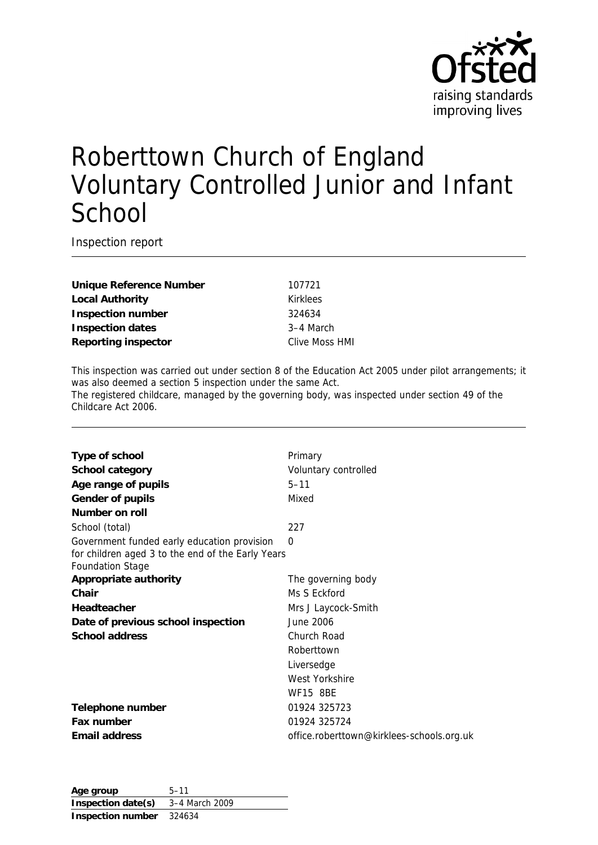

# Roberttown Church of England Voluntary Controlled Junior and Infant **School**

Inspection report

**Unique Reference Number** 107721 Local Authority **Kirklees Inspection number** 324634 **Inspection dates** 3–4 March **Reporting inspector** Clive Moss HMI

This inspection was carried out under section 8 of the Education Act 2005 under pilot arrangements; it was also deemed a section 5 inspection under the same Act. The registered childcare, managed by the governing body, was inspected under section 49 of the Childcare Act 2006.

| Type of school                                                               | Primary                                   |
|------------------------------------------------------------------------------|-------------------------------------------|
| School category                                                              | Voluntary controlled                      |
| Age range of pupils                                                          | $5 - 11$                                  |
| Gender of pupils                                                             | Mixed                                     |
| Number on roll                                                               |                                           |
| School (total)                                                               | 227                                       |
| Government funded early education provision                                  | 0                                         |
| for children aged 3 to the end of the Early Years<br><b>Foundation Stage</b> |                                           |
| Appropriate authority                                                        | The governing body                        |
| Chair                                                                        | Ms S Eckford                              |
| Headteacher                                                                  | Mrs J Laycock-Smith                       |
| Date of previous school inspection                                           | June 2006                                 |
| School address                                                               | Church Road                               |
|                                                                              | Roberttown                                |
|                                                                              | Liversedge                                |
|                                                                              | West Yorkshire                            |
|                                                                              | <b>WF15 8BE</b>                           |
| Telephone number                                                             | 01924 325723                              |
| Fax number                                                                   | 01924 325724                              |
| Email address                                                                | office.roberttown@kirklees-schools.org.uk |
|                                                                              |                                           |

**Age group** 5–11 **Inspection date(s)** 3–4 March 2009 **Inspection number** 324634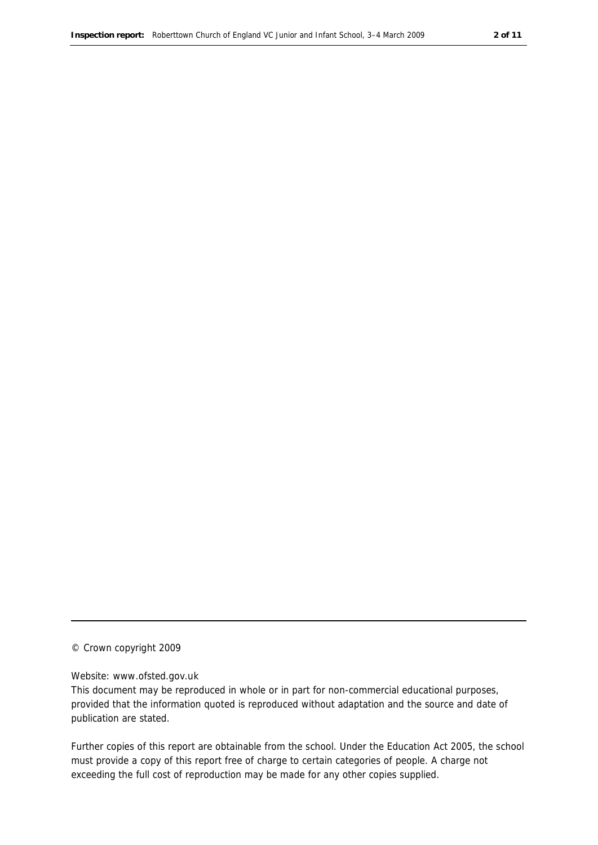#### © Crown copyright 2009

#### Website: www.ofsted.gov.uk

This document may be reproduced in whole or in part for non-commercial educational purposes, provided that the information quoted is reproduced without adaptation and the source and date of publication are stated.

Further copies of this report are obtainable from the school. Under the Education Act 2005, the school must provide a copy of this report free of charge to certain categories of people. A charge not exceeding the full cost of reproduction may be made for any other copies supplied.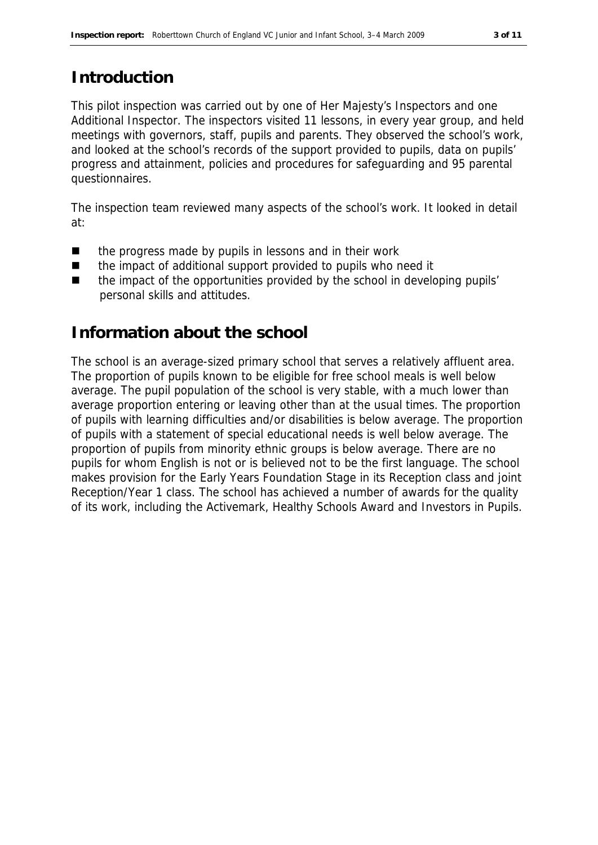#### **Introduction**

This pilot inspection was carried out by one of Her Majesty's Inspectors and one Additional Inspector. The inspectors visited 11 lessons, in every year group, and held meetings with governors, staff, pupils and parents. They observed the school's work, and looked at the school's records of the support provided to pupils, data on pupils' progress and attainment, policies and procedures for safeguarding and 95 parental questionnaires.

The inspection team reviewed many aspects of the school's work. It looked in detail at:

- the progress made by pupils in lessons and in their work
- the impact of additional support provided to pupils who need it
- the impact of the opportunities provided by the school in developing pupils' personal skills and attitudes.

#### **Information about the school**

The school is an average-sized primary school that serves a relatively affluent area. The proportion of pupils known to be eligible for free school meals is well below average. The pupil population of the school is very stable, with a much lower than average proportion entering or leaving other than at the usual times. The proportion of pupils with learning difficulties and/or disabilities is below average. The proportion of pupils with a statement of special educational needs is well below average. The proportion of pupils from minority ethnic groups is below average. There are no pupils for whom English is not or is believed not to be the first language. The school makes provision for the Early Years Foundation Stage in its Reception class and joint Reception/Year 1 class. The school has achieved a number of awards for the quality of its work, including the Activemark, Healthy Schools Award and Investors in Pupils.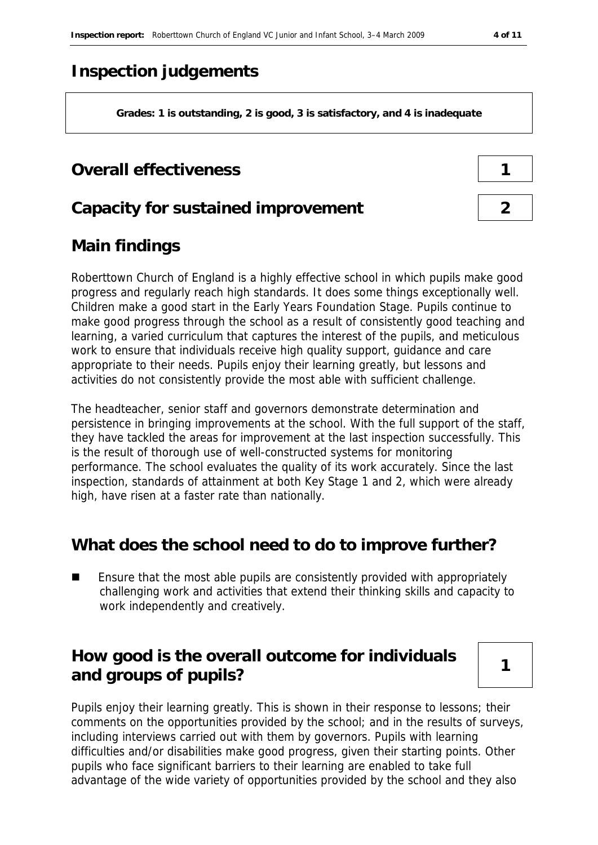## **Inspection judgements**

**Grades: 1 is outstanding, 2 is good, 3 is satisfactory, and 4 is inadequate**

#### **Overall effectiveness 1**

#### **Capacity for sustained improvement 2**

### **Main findings**

Roberttown Church of England is a highly effective school in which pupils make good progress and regularly reach high standards. It does some things exceptionally well. Children make a good start in the Early Years Foundation Stage. Pupils continue to make good progress through the school as a result of consistently good teaching and learning, a varied curriculum that captures the interest of the pupils, and meticulous work to ensure that individuals receive high quality support, guidance and care appropriate to their needs. Pupils enjoy their learning greatly, but lessons and activities do not consistently provide the most able with sufficient challenge.

The headteacher, senior staff and governors demonstrate determination and persistence in bringing improvements at the school. With the full support of the staff, they have tackled the areas for improvement at the last inspection successfully. This is the result of thorough use of well-constructed systems for monitoring performance. The school evaluates the quality of its work accurately. Since the last inspection, standards of attainment at both Key Stage 1 and 2, which were already high, have risen at a faster rate than nationally.

#### **What does the school need to do to improve further?**

 Ensure that the most able pupils are consistently provided with appropriately challenging work and activities that extend their thinking skills and capacity to work independently and creatively.

### **How good is the overall outcome for individuals**  and groups of pupils?

Pupils enjoy their learning greatly. This is shown in their response to lessons; their comments on the opportunities provided by the school; and in the results of surveys, including interviews carried out with them by governors. Pupils with learning difficulties and/or disabilities make good progress, given their starting points. Other pupils who face significant barriers to their learning are enabled to take full advantage of the wide variety of opportunities provided by the school and they also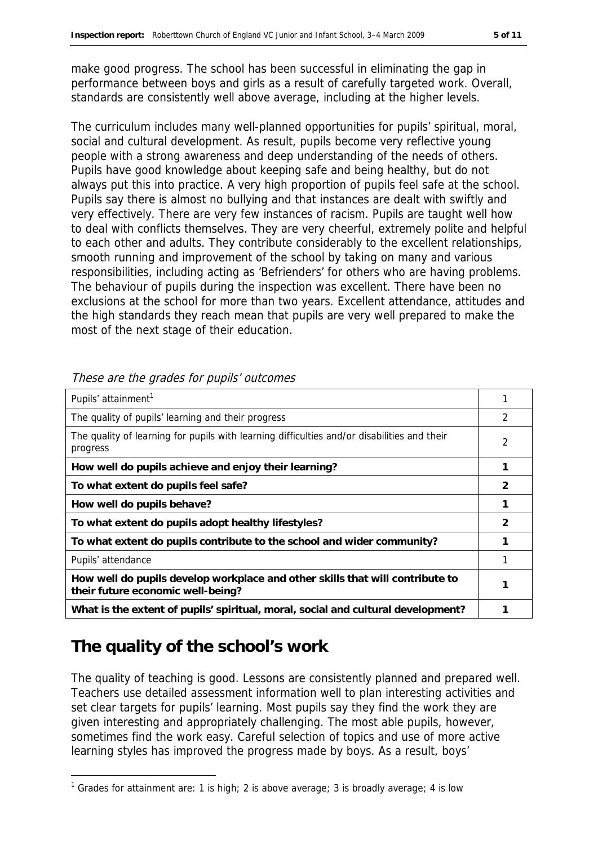make good progress. The school has been successful in eliminating the gap in performance between boys and girls as a result of carefully targeted work. Overall, standards are consistently well above average, including at the higher levels.

The curriculum includes many well-planned opportunities for pupils' spiritual, moral, social and cultural development. As result, pupils become very reflective young people with a strong awareness and deep understanding of the needs of others. Pupils have good knowledge about keeping safe and being healthy, but do not always put this into practice. A very high proportion of pupils feel safe at the school. Pupils say there is almost no bullying and that instances are dealt with swiftly and very effectively. There are very few instances of racism. Pupils are taught well how to deal with conflicts themselves. They are very cheerful, extremely polite and helpful to each other and adults. They contribute considerably to the excellent relationships, smooth running and improvement of the school by taking on many and various responsibilities, including acting as 'Befrienders' for others who are having problems. The behaviour of pupils during the inspection was excellent. There have been no exclusions at the school for more than two years. Excellent attendance, attitudes and the high standards they reach mean that pupils are very well prepared to make the most of the next stage of their education.

| Pupils' attainment <sup>1</sup>                                                                                    |               |
|--------------------------------------------------------------------------------------------------------------------|---------------|
| The quality of pupils' learning and their progress                                                                 | 2             |
| The quality of learning for pupils with learning difficulties and/or disabilities and their<br>progress            | 2             |
| How well do pupils achieve and enjoy their learning?                                                               | 1             |
| To what extent do pupils feel safe?                                                                                | 2             |
| How well do pupils behave?                                                                                         |               |
| To what extent do pupils adopt healthy lifestyles?                                                                 | $\mathcal{P}$ |
| To what extent do pupils contribute to the school and wider community?                                             |               |
| Pupils' attendance                                                                                                 |               |
| How well do pupils develop workplace and other skills that will contribute to<br>their future economic well-being? |               |
| What is the extent of pupils' spiritual, moral, social and cultural development?                                   |               |

These are the grades for pupils' outcomes

# **The quality of the school's work**

-

The quality of teaching is good. Lessons are consistently planned and prepared well. Teachers use detailed assessment information well to plan interesting activities and set clear targets for pupils' learning. Most pupils say they find the work they are given interesting and appropriately challenging. The most able pupils, however, sometimes find the work easy. Careful selection of topics and use of more active learning styles has improved the progress made by boys. As a result, boys'

<sup>&</sup>lt;sup>1</sup> Grades for attainment are: 1 is high; 2 is above average; 3 is broadly average; 4 is low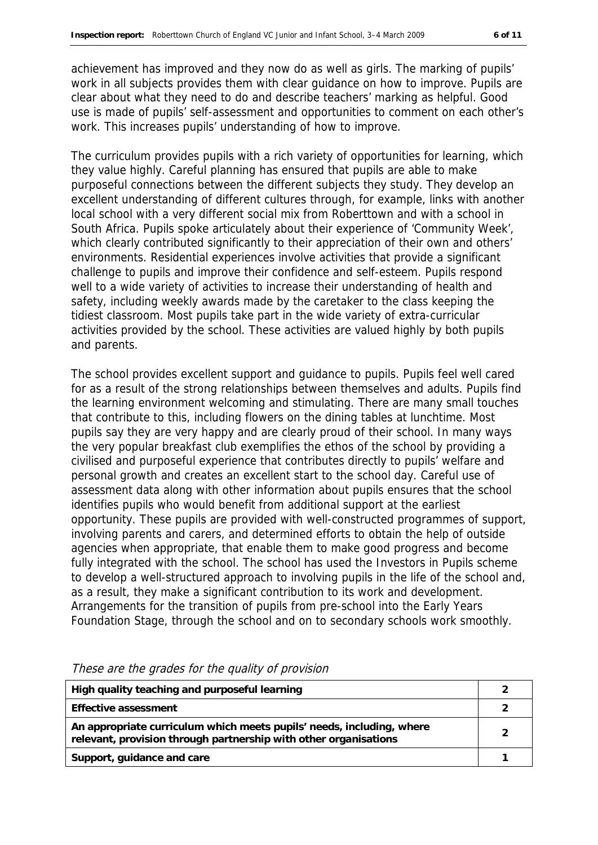achievement has improved and they now do as well as girls. The marking of pupils' work in all subjects provides them with clear guidance on how to improve. Pupils are clear about what they need to do and describe teachers' marking as helpful. Good use is made of pupils' self-assessment and opportunities to comment on each other's work. This increases pupils' understanding of how to improve.

The curriculum provides pupils with a rich variety of opportunities for learning, which they value highly. Careful planning has ensured that pupils are able to make purposeful connections between the different subjects they study. They develop an excellent understanding of different cultures through, for example, links with another local school with a very different social mix from Roberttown and with a school in South Africa. Pupils spoke articulately about their experience of 'Community Week', which clearly contributed significantly to their appreciation of their own and others' environments. Residential experiences involve activities that provide a significant challenge to pupils and improve their confidence and self-esteem. Pupils respond well to a wide variety of activities to increase their understanding of health and safety, including weekly awards made by the caretaker to the class keeping the tidiest classroom. Most pupils take part in the wide variety of extra-curricular activities provided by the school. These activities are valued highly by both pupils and parents.

The school provides excellent support and guidance to pupils. Pupils feel well cared for as a result of the strong relationships between themselves and adults. Pupils find the learning environment welcoming and stimulating. There are many small touches that contribute to this, including flowers on the dining tables at lunchtime. Most pupils say they are very happy and are clearly proud of their school. In many ways the very popular breakfast club exemplifies the ethos of the school by providing a civilised and purposeful experience that contributes directly to pupils' welfare and personal growth and creates an excellent start to the school day. Careful use of assessment data along with other information about pupils ensures that the school identifies pupils who would benefit from additional support at the earliest opportunity. These pupils are provided with well-constructed programmes of support, involving parents and carers, and determined efforts to obtain the help of outside agencies when appropriate, that enable them to make good progress and become fully integrated with the school. The school has used the Investors in Pupils scheme to develop a well-structured approach to involving pupils in the life of the school and, as a result, they make a significant contribution to its work and development. Arrangements for the transition of pupils from pre-school into the Early Years Foundation Stage, through the school and on to secondary schools work smoothly.

| High quality teaching and purposeful learning                                                                                             |  |
|-------------------------------------------------------------------------------------------------------------------------------------------|--|
| Effective assessment                                                                                                                      |  |
| An appropriate curriculum which meets pupils' needs, including, where<br>relevant, provision through partnership with other organisations |  |
| Support, guidance and care                                                                                                                |  |

These are the grades for the quality of provision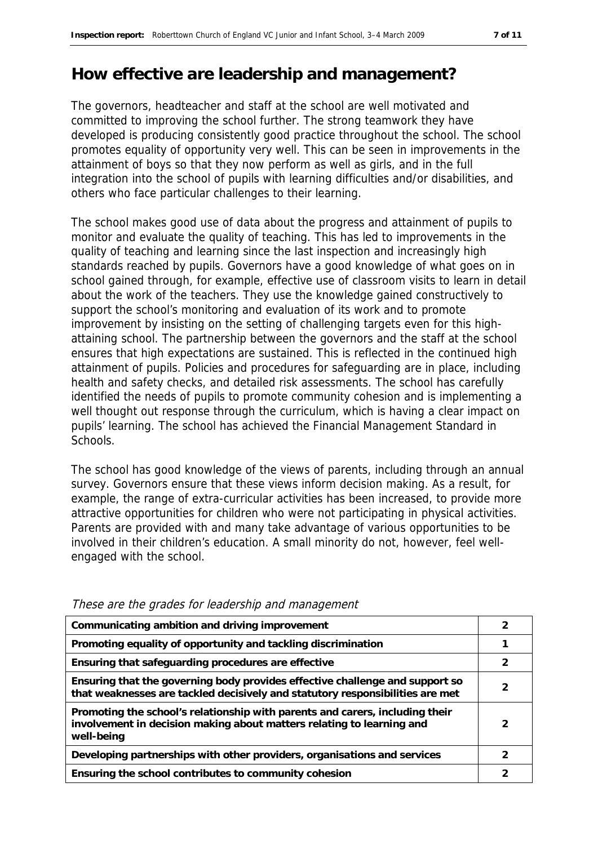#### **How effective are leadership and management?**

The governors, headteacher and staff at the school are well motivated and committed to improving the school further. The strong teamwork they have developed is producing consistently good practice throughout the school. The school promotes equality of opportunity very well. This can be seen in improvements in the attainment of boys so that they now perform as well as girls, and in the full integration into the school of pupils with learning difficulties and/or disabilities, and others who face particular challenges to their learning.

The school makes good use of data about the progress and attainment of pupils to monitor and evaluate the quality of teaching. This has led to improvements in the quality of teaching and learning since the last inspection and increasingly high standards reached by pupils. Governors have a good knowledge of what goes on in school gained through, for example, effective use of classroom visits to learn in detail about the work of the teachers. They use the knowledge gained constructively to support the school's monitoring and evaluation of its work and to promote improvement by insisting on the setting of challenging targets even for this highattaining school. The partnership between the governors and the staff at the school ensures that high expectations are sustained. This is reflected in the continued high attainment of pupils. Policies and procedures for safeguarding are in place, including health and safety checks, and detailed risk assessments. The school has carefully identified the needs of pupils to promote community cohesion and is implementing a well thought out response through the curriculum, which is having a clear impact on pupils' learning. The school has achieved the Financial Management Standard in Schools.

The school has good knowledge of the views of parents, including through an annual survey. Governors ensure that these views inform decision making. As a result, for example, the range of extra-curricular activities has been increased, to provide more attractive opportunities for children who were not participating in physical activities. Parents are provided with and many take advantage of various opportunities to be involved in their children's education. A small minority do not, however, feel wellengaged with the school.

| Communicating ambition and driving improvement                                                                                                                      |               |
|---------------------------------------------------------------------------------------------------------------------------------------------------------------------|---------------|
| Promoting equality of opportunity and tackling discrimination                                                                                                       |               |
| Ensuring that safeguarding procedures are effective                                                                                                                 | $\mathcal{P}$ |
| Ensuring that the governing body provides effective challenge and support so<br>that weaknesses are tackled decisively and statutory responsibilities are met       | 2             |
| Promoting the school's relationship with parents and carers, including their<br>involvement in decision making about matters relating to learning and<br>well-being | 2             |
| Developing partnerships with other providers, organisations and services                                                                                            | っ             |
| Ensuring the school contributes to community cohesion                                                                                                               |               |
|                                                                                                                                                                     |               |

These are the grades for leadership and management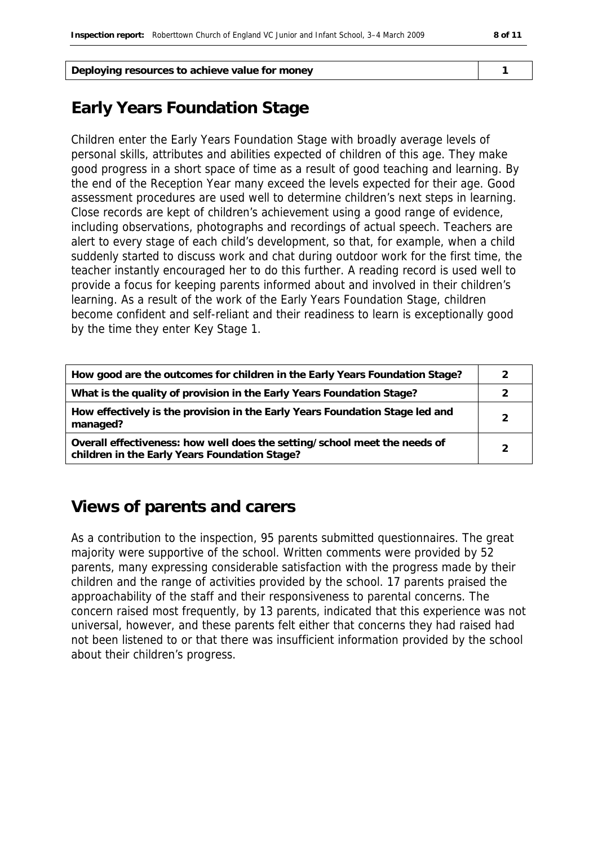| Deploying resources to achieve value for money |  |
|------------------------------------------------|--|
|                                                |  |

# **Early Years Foundation Stage**

Children enter the Early Years Foundation Stage with broadly average levels of personal skills, attributes and abilities expected of children of this age. They make good progress in a short space of time as a result of good teaching and learning. By the end of the Reception Year many exceed the levels expected for their age. Good assessment procedures are used well to determine children's next steps in learning. Close records are kept of children's achievement using a good range of evidence, including observations, photographs and recordings of actual speech. Teachers are alert to every stage of each child's development, so that, for example, when a child suddenly started to discuss work and chat during outdoor work for the first time, the teacher instantly encouraged her to do this further. A reading record is used well to provide a focus for keeping parents informed about and involved in their children's learning. As a result of the work of the Early Years Foundation Stage, children become confident and self-reliant and their readiness to learn is exceptionally good by the time they enter Key Stage 1.

| How good are the outcomes for children in the Early Years Foundation Stage?                                                |  |
|----------------------------------------------------------------------------------------------------------------------------|--|
| What is the quality of provision in the Early Years Foundation Stage?                                                      |  |
| How effectively is the provision in the Early Years Foundation Stage led and<br>managed?                                   |  |
| Overall effectiveness: how well does the setting/school meet the needs of<br>children in the Early Years Foundation Stage? |  |

### **Views of parents and carers**

As a contribution to the inspection, 95 parents submitted questionnaires. The great majority were supportive of the school. Written comments were provided by 52 parents, many expressing considerable satisfaction with the progress made by their children and the range of activities provided by the school. 17 parents praised the approachability of the staff and their responsiveness to parental concerns. The concern raised most frequently, by 13 parents, indicated that this experience was not universal, however, and these parents felt either that concerns they had raised had not been listened to or that there was insufficient information provided by the school about their children's progress.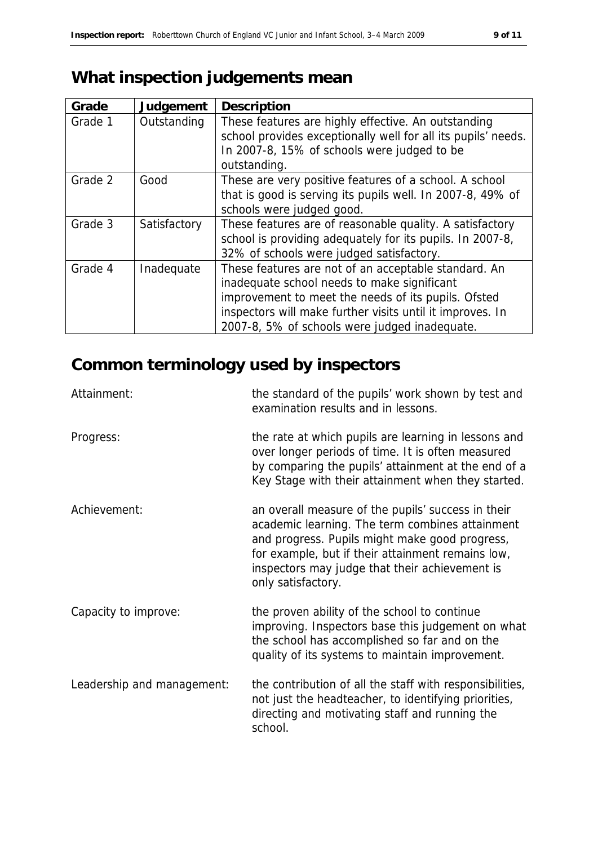# **What inspection judgements mean**

| Grade   | Judgement    | Description                                                   |
|---------|--------------|---------------------------------------------------------------|
| Grade 1 | Outstanding  | These features are highly effective. An outstanding           |
|         |              | school provides exceptionally well for all its pupils' needs. |
|         |              | In 2007-8, 15% of schools were judged to be                   |
|         |              | outstanding.                                                  |
| Grade 2 | Good         | These are very positive features of a school. A school        |
|         |              | that is good is serving its pupils well. In 2007-8, 49% of    |
|         |              | schools were judged good.                                     |
| Grade 3 | Satisfactory | These features are of reasonable quality. A satisfactory      |
|         |              | school is providing adequately for its pupils. In 2007-8,     |
|         |              | 32% of schools were judged satisfactory.                      |
| Grade 4 | Inadequate   | These features are not of an acceptable standard. An          |
|         |              | inadequate school needs to make significant                   |
|         |              | improvement to meet the needs of its pupils. Ofsted           |
|         |              | inspectors will make further visits until it improves. In     |
|         |              | 2007-8, 5% of schools were judged inadequate.                 |

# **Common terminology used by inspectors**

| Attainment:                | the standard of the pupils' work shown by test and<br>examination results and in lessons.                                                                                                                                                                                            |
|----------------------------|--------------------------------------------------------------------------------------------------------------------------------------------------------------------------------------------------------------------------------------------------------------------------------------|
| Progress:                  | the rate at which pupils are learning in lessons and<br>over longer periods of time. It is often measured<br>by comparing the pupils' attainment at the end of a<br>Key Stage with their attainment when they started.                                                               |
| Achievement:               | an overall measure of the pupils' success in their<br>academic learning. The term combines attainment<br>and progress. Pupils might make good progress,<br>for example, but if their attainment remains low,<br>inspectors may judge that their achievement is<br>only satisfactory. |
| Capacity to improve:       | the proven ability of the school to continue<br>improving. Inspectors base this judgement on what<br>the school has accomplished so far and on the<br>quality of its systems to maintain improvement.                                                                                |
| Leadership and management: | the contribution of all the staff with responsibilities,<br>not just the headteacher, to identifying priorities,<br>directing and motivating staff and running the<br>school.                                                                                                        |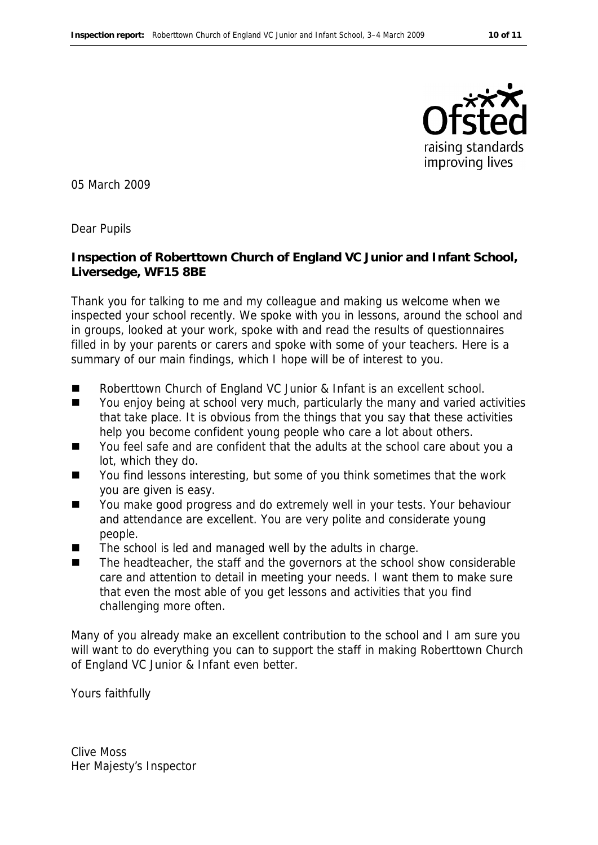

05 March 2009

Dear Pupils

**Inspection of Roberttown Church of England VC Junior and Infant School, Liversedge, WF15 8BE**

Thank you for talking to me and my colleague and making us welcome when we inspected your school recently. We spoke with you in lessons, around the school and in groups, looked at your work, spoke with and read the results of questionnaires filled in by your parents or carers and spoke with some of your teachers. Here is a summary of our main findings, which I hope will be of interest to you.

- Roberttown Church of England VC Junior & Infant is an excellent school.
- You enjoy being at school very much, particularly the many and varied activities that take place. It is obvious from the things that you say that these activities help you become confident young people who care a lot about others.
- You feel safe and are confident that the adults at the school care about you a lot, which they do.
- You find lessons interesting, but some of you think sometimes that the work you are given is easy.
- You make good progress and do extremely well in your tests. Your behaviour and attendance are excellent. You are very polite and considerate young people.
- The school is led and managed well by the adults in charge.
- $\blacksquare$  The headteacher, the staff and the governors at the school show considerable care and attention to detail in meeting your needs. I want them to make sure that even the most able of you get lessons and activities that you find challenging more often.

Many of you already make an excellent contribution to the school and I am sure you will want to do everything you can to support the staff in making Roberttown Church of England VC Junior & Infant even better.

Yours faithfully

Clive Moss Her Majesty's Inspector